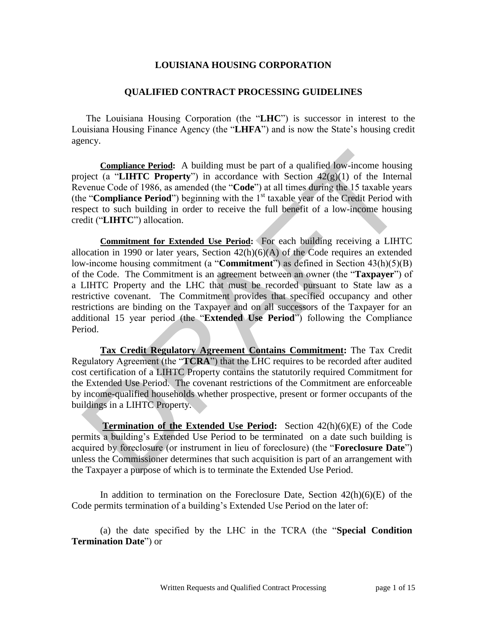#### **LOUISIANA HOUSING CORPORATION**

#### **QUALIFIED CONTRACT PROCESSING GUIDELINES**

The Louisiana Housing Corporation (the "**LHC**") is successor in interest to the Louisiana Housing Finance Agency (the "**LHFA**") and is now the State's housing credit agency.

**Compliance Period:** A building must be part of a qualified low-income housing project (a "**LIHTC Property**") in accordance with Section 42(g)(1) of the Internal Revenue Code of 1986, as amended (the "**Code**") at all times during the 15 taxable years (the "**Compliance Period**") beginning with the 1<sup>st</sup> taxable year of the Credit Period with respect to such building in order to receive the full benefit of a low-income housing credit ("**LIHTC**") allocation.

**Commitment for Extended Use Period:** For each building receiving a LIHTC allocation in 1990 or later years, Section  $42(h)(6)(A)$  of the Code requires an extended low-income housing commitment (a "**Commitment**") as defined in Section 43(h)(5)(B) of the Code. The Commitment is an agreement between an owner (the "**Taxpayer**") of a LIHTC Property and the LHC that must be recorded pursuant to State law as a restrictive covenant. The Commitment provides that specified occupancy and other restrictions are binding on the Taxpayer and on all successors of the Taxpayer for an additional 15 year period (the "**Extended Use Period**") following the Compliance Period. **Compliance Period:** A building must be part of a qualified low-income housing piect (a "LIHTC **Property**") in accordance with Section  $42(g)(1)$  of the Interary<br>evenue Code of 1986, as amended (the "Code") at all times dur

**Tax Credit Regulatory Agreement Contains Commitment:** The Tax Credit Regulatory Agreement (the "**TCRA**") that the LHC requires to be recorded after audited cost certification of a LIHTC Property contains the statutorily required Commitment for the Extended Use Period. The covenant restrictions of the Commitment are enforceable by income-qualified households whether prospective, present or former occupants of the buildings in a LIHTC Property.

**Termination of the Extended Use Period:** Section 42(h)(6)(E) of the Code permits a building's Extended Use Period to be terminated on a date such building is acquired by foreclosure (or instrument in lieu of foreclosure) (the "**Foreclosure Date**") unless the Commissioner determines that such acquisition is part of an arrangement with the Taxpayer a purpose of which is to terminate the Extended Use Period.

In addition to termination on the Foreclosure Date, Section  $42(h)(6)(E)$  of the Code permits termination of a building's Extended Use Period on the later of:

(a) the date specified by the LHC in the TCRA (the "**Special Condition Termination Date**") or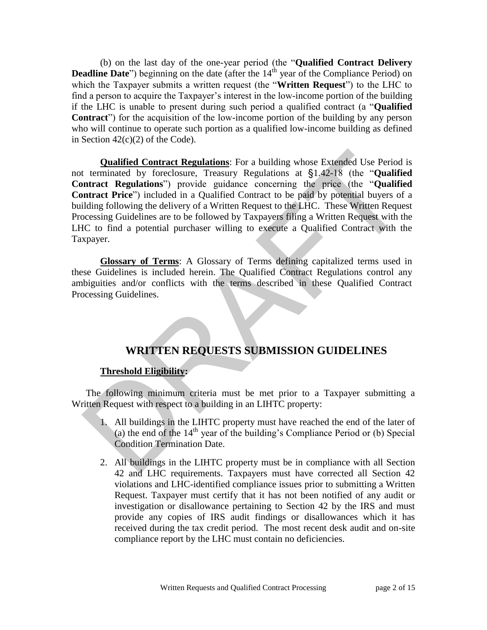(b) on the last day of the one-year period (the "**Qualified Contract Delivery Deadline Date**") beginning on the date (after the 14<sup>th</sup> year of the Compliance Period) on which the Taxpayer submits a written request (the "**Written Request**") to the LHC to find a person to acquire the Taxpayer's interest in the low-income portion of the building if the LHC is unable to present during such period a qualified contract (a "**Qualified Contract**") for the acquisition of the low-income portion of the building by any person who will continue to operate such portion as a qualified low-income building as defined in Section  $42(c)(2)$  of the Code).

**Qualified Contract Regulations**: For a building whose Extended Use Period is not terminated by foreclosure, Treasury Regulations at §1.42-18 (the "**Qualified Contract Regulations**") provide guidance concerning the price (the "**Qualified Contract Price**") included in a Qualified Contract to be paid by potential buyers of a building following the delivery of a Written Request to the LHC. These Written Request Processing Guidelines are to be followed by Taxpayers filing a Written Request with the LHC to find a potential purchaser willing to execute a Qualified Contract with the Taxpayer. **Qualified Contract Regulations:** For a building whose Extended Use Period<br>
t terminated by foreclosure, Treasury Regulations at §1.42-18 (the "**Qualified**<br> **Intract Regulations**") provide guidance concerning the price (t

**Glossary of Terms**: A Glossary of Terms defining capitalized terms used in these Guidelines is included herein. The Qualified Contract Regulations control any ambiguities and/or conflicts with the terms described in these Qualified Contract Processing Guidelines.

# **WRITTEN REQUESTS SUBMISSION GUIDELINES**

# **Threshold Eligibility:**

The following minimum criteria must be met prior to a Taxpayer submitting a Written Request with respect to a building in an LIHTC property:

- 1. All buildings in the LIHTC property must have reached the end of the later of (a) the end of the  $14<sup>th</sup>$  year of the building's Compliance Period or (b) Special Condition Termination Date.
- 2. All buildings in the LIHTC property must be in compliance with all Section 42 and LHC requirements. Taxpayers must have corrected all Section 42 violations and LHC-identified compliance issues prior to submitting a Written Request. Taxpayer must certify that it has not been notified of any audit or investigation or disallowance pertaining to Section 42 by the IRS and must provide any copies of IRS audit findings or disallowances which it has received during the tax credit period. The most recent desk audit and on-site compliance report by the LHC must contain no deficiencies.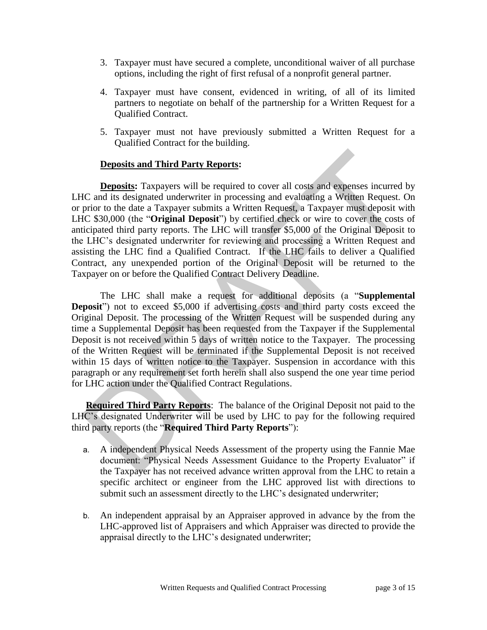- 3. Taxpayer must have secured a complete, unconditional waiver of all purchase options, including the right of first refusal of a nonprofit general partner.
- 4. Taxpayer must have consent, evidenced in writing, of all of its limited partners to negotiate on behalf of the partnership for a Written Request for a Qualified Contract.
- 5. Taxpayer must not have previously submitted a Written Request for a Qualified Contract for the building.

# **Deposits and Third Party Reports:**

 **Deposits:** Taxpayers will be required to cover all costs and expenses incurred by LHC and its designated underwriter in processing and evaluating a Written Request. On or prior to the date a Taxpayer submits a Written Request, a Taxpayer must deposit with LHC \$30,000 (the "**Original Deposit**") by certified check or wire to cover the costs of anticipated third party reports. The LHC will transfer \$5,000 of the Original Deposit to the LHC's designated underwriter for reviewing and processing a Written Request and assisting the LHC find a Qualified Contract. If the LHC fails to deliver a Qualified Contract, any unexpended portion of the Original Deposit will be returned to the Taxpayer on or before the Qualified Contract Delivery Deadline. **Deposits and Third Party Reports:**<br> **Deposits:** Taxpayers will be required to cover all costs and expenses incurred IC and its designated underwriter in processing and evaluating a Written Request. C<br>
IC and its designate

 The LHC shall make a request for additional deposits (a "**Supplemental Deposit**") not to exceed \$5,000 if advertising costs and third party costs exceed the Original Deposit. The processing of the Written Request will be suspended during any time a Supplemental Deposit has been requested from the Taxpayer if the Supplemental Deposit is not received within 5 days of written notice to the Taxpayer. The processing of the Written Request will be terminated if the Supplemental Deposit is not received within 15 days of written notice to the Taxpayer. Suspension in accordance with this paragraph or any requirement set forth herein shall also suspend the one year time period for LHC action under the Qualified Contract Regulations.

**Required Third Party Reports**: The balance of the Original Deposit not paid to the LHC's designated Underwriter will be used by LHC to pay for the following required third party reports (the "**Required Third Party Reports**"):

- a. A independent Physical Needs Assessment of the property using the Fannie Mae document: "Physical Needs Assessment Guidance to the Property Evaluator" if the Taxpayer has not received advance written approval from the LHC to retain a specific architect or engineer from the LHC approved list with directions to submit such an assessment directly to the LHC's designated underwriter;
- b. An independent appraisal by an Appraiser approved in advance by the from the LHC-approved list of Appraisers and which Appraiser was directed to provide the appraisal directly to the LHC's designated underwriter;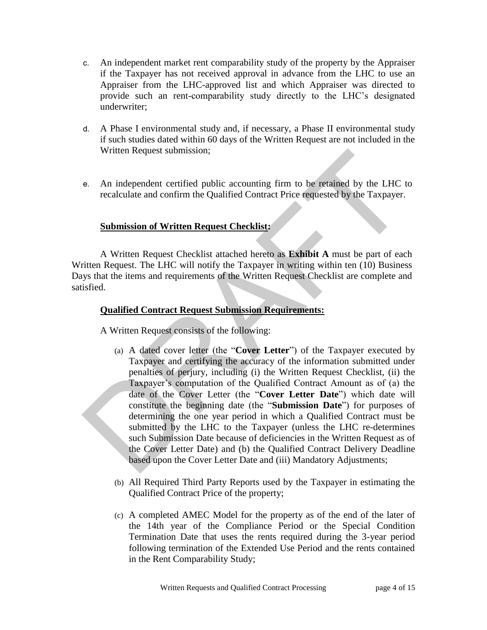- c. An independent market rent comparability study of the property by the Appraiser if the Taxpayer has not received approval in advance from the LHC to use an Appraiser from the LHC-approved list and which Appraiser was directed to provide such an rent-comparability study directly to the LHC's designated underwriter;
- d. A Phase I environmental study and, if necessary, a Phase II environmental study if such studies dated within 60 days of the Written Request are not included in the Written Request submission;
- e. An independent certified public accounting firm to be retained by the LHC to recalculate and confirm the Qualified Contract Price requested by the Taxpayer.

# **Submission of Written Request Checklist:**

A Written Request Checklist attached hereto as **Exhibit A** must be part of each Written Request. The LHC will notify the Taxpayer in writing within ten (10) Business Days that the items and requirements of the Written Request Checklist are complete and satisfied.

#### **Qualified Contract Request Submission Requirements:**

A Written Request consists of the following:

- (a) A dated cover letter (the "**Cover Letter**") of the Taxpayer executed by Taxpayer and certifying the accuracy of the information submitted under penalties of perjury, including (i) the Written Request Checklist, (ii) the Taxpayer's computation of the Qualified Contract Amount as of (a) the date of the Cover Letter (the "**Cover Letter Date**") which date will constitute the beginning date (the "**Submission Date**") for purposes of determining the one year period in which a Qualified Contract must be submitted by the LHC to the Taxpayer (unless the LHC re-determines such Submission Date because of deficiencies in the Written Request as of the Cover Letter Date) and (b) the Qualified Contract Delivery Deadline based upon the Cover Letter Date and (iii) Mandatory Adjustments; Written Request submission;<br>
e. An independent certified public accounting firm to be retained by the LHC recalculate and confirm the Qualified Contract Price requested by the Taxpayer.<br> **Submission of Written Request Chec** 
	- (b) All Required Third Party Reports used by the Taxpayer in estimating the Qualified Contract Price of the property;
	- (c) A completed AMEC Model for the property as of the end of the later of the 14th year of the Compliance Period or the Special Condition Termination Date that uses the rents required during the 3-year period following termination of the Extended Use Period and the rents contained in the Rent Comparability Study;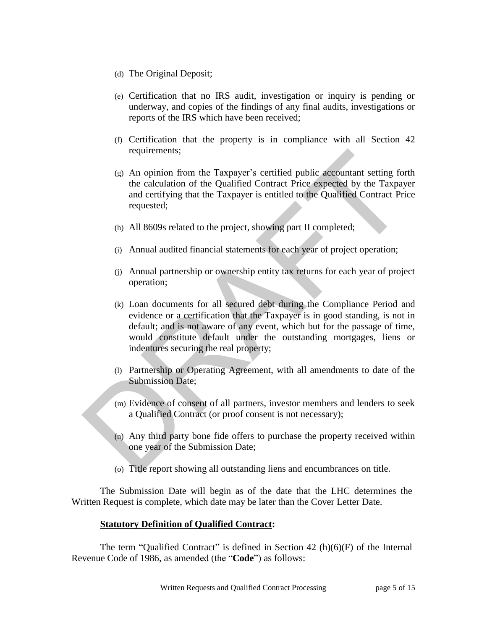- (d) The Original Deposit;
- (e) Certification that no IRS audit, investigation or inquiry is pending or underway, and copies of the findings of any final audits, investigations or reports of the IRS which have been received;
- (f) Certification that the property is in compliance with all Section 42 requirements;
- (g) An opinion from the Taxpayer's certified public accountant setting forth the calculation of the Qualified Contract Price expected by the Taxpayer and certifying that the Taxpayer is entitled to the Qualified Contract Price requested;
- (h) All 8609s related to the project, showing part II completed;
- (i) Annual audited financial statements for each year of project operation;
- (j) Annual partnership or ownership entity tax returns for each year of project operation;
- (k) Loan documents for all secured debt during the Compliance Period and evidence or a certification that the Taxpayer is in good standing, is not in default; and is not aware of any event, which but for the passage of time, would constitute default under the outstanding mortgages, liens or indentures securing the real property; requirements;<br>
(g) An opinion from the Taxpayer's certified public accountant setting for<br>
the calculation of the Qualified Contract Price expected by the Taxpay<br>
and certifying that the Taxpayer is entitled to the Qualifi
	- (l) Partnership or Operating Agreement, with all amendments to date of the Submission Date;
	- (m) Evidence of consent of all partners, investor members and lenders to seek a Qualified Contract (or proof consent is not necessary);
	- (n) Any third party bone fide offers to purchase the property received within one year of the Submission Date;
	- (o) Title report showing all outstanding liens and encumbrances on title.

The Submission Date will begin as of the date that the LHC determines the Written Request is complete, which date may be later than the Cover Letter Date.

# **Statutory Definition of Qualified Contract:**

The term "Qualified Contract" is defined in Section 42  $(h)(6)(F)$  of the Internal Revenue Code of 1986, as amended (the "**Code**") as follows: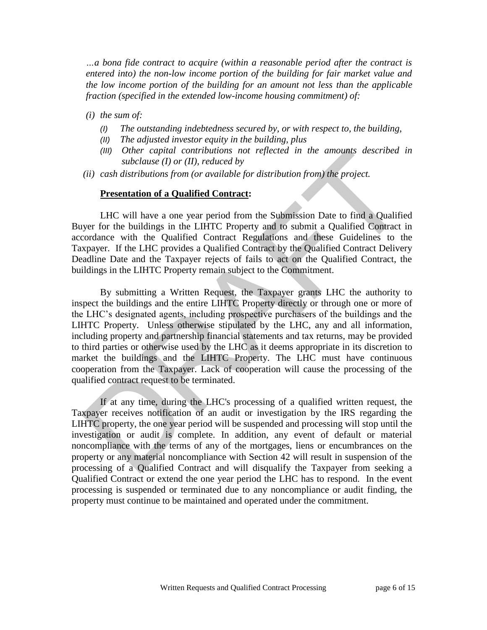*…a bona fide contract to acquire (within a reasonable period after the contract is entered into) the non-low income portion of the building for fair market value and the low income portion of the building for an amount not less than the applicable fraction (specified in the extended low-income housing commitment) of:* 

- *(i) the sum of:* 
	- *(I) The outstanding indebtedness secured by, or with respect to, the building,*
	- *(II) The adjusted investor equity in the building, plus*
	- *(III) Other capital contributions not reflected in the amounts described in subclause (I) or (II), reduced by*
- *(ii) cash distributions from (or available for distribution from) the project.*

#### **Presentation of a Qualified Contract:**

LHC will have a one year period from the Submission Date to find a Qualified Buyer for the buildings in the LIHTC Property and to submit a Qualified Contract in accordance with the Qualified Contract Regulations and these Guidelines to the Taxpayer. If the LHC provides a Qualified Contract by the Qualified Contract Delivery Deadline Date and the Taxpayer rejects of fails to act on the Qualified Contract, the buildings in the LIHTC Property remain subject to the Commitment.

By submitting a Written Request, the Taxpayer grants LHC the authority to inspect the buildings and the entire LIHTC Property directly or through one or more of the LHC's designated agents, including prospective purchasers of the buildings and the LIHTC Property. Unless otherwise stipulated by the LHC, any and all information, including property and partnership financial statements and tax returns, may be provided to third parties or otherwise used by the LHC as it deems appropriate in its discretion to market the buildings and the LIHTC Property. The LHC must have continuous cooperation from the Taxpayer. Lack of cooperation will cause the processing of the qualified contract request to be terminated. (III) Other capital contributions not reflected in the amounts described i<br>
(ii) cash distributions from (or available for distribution from) the project.<br> **Presentation of a Qualified Contract:**<br> **Presentation of a Quali** 

If at any time, during the LHC's processing of a qualified written request, the Taxpayer receives notification of an audit or investigation by the IRS regarding the LIHTC property, the one year period will be suspended and processing will stop until the investigation or audit is complete. In addition, any event of default or material noncompliance with the terms of any of the mortgages, liens or encumbrances on the property or any material noncompliance with Section 42 will result in suspension of the processing of a Qualified Contract and will disqualify the Taxpayer from seeking a Qualified Contract or extend the one year period the LHC has to respond. In the event processing is suspended or terminated due to any noncompliance or audit finding, the property must continue to be maintained and operated under the commitment.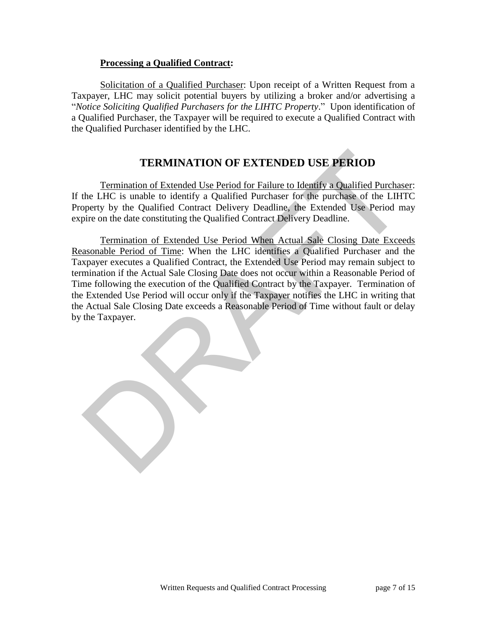# **Processing a Qualified Contract:**

Solicitation of a Qualified Purchaser: Upon receipt of a Written Request from a Taxpayer, LHC may solicit potential buyers by utilizing a broker and/or advertising a "*Notice Soliciting Qualified Purchasers for the LIHTC Property*." Upon identification of a Qualified Purchaser, the Taxpayer will be required to execute a Qualified Contract with the Qualified Purchaser identified by the LHC.

# **TERMINATION OF EXTENDED USE PERIOD**

Termination of Extended Use Period for Failure to Identify a Qualified Purchaser: If the LHC is unable to identify a Qualified Purchaser for the purchase of the LIHTC Property by the Qualified Contract Delivery Deadline, the Extended Use Period may expire on the date constituting the Qualified Contract Delivery Deadline.

Termination of Extended Use Period When Actual Sale Closing Date Exceeds Reasonable Period of Time: When the LHC identifies a Qualified Purchaser and the Taxpayer executes a Qualified Contract, the Extended Use Period may remain subject to termination if the Actual Sale Closing Date does not occur within a Reasonable Period of Time following the execution of the Qualified Contract by the Taxpayer. Termination of the Extended Use Period will occur only if the Taxpayer notifies the LHC in writing that the Actual Sale Closing Date exceeds a Reasonable Period of Time without fault or delay by the Taxpayer. **TERMINATION OF EXTENDED USE PERIOD**<br>
Termination of Extended Use Period for Failure to Identity a Qualified Purchase<br>
the LHC is unable to identity a Qualified Purchaser for the purchase of the LIHT<br>
perty by the Qualifie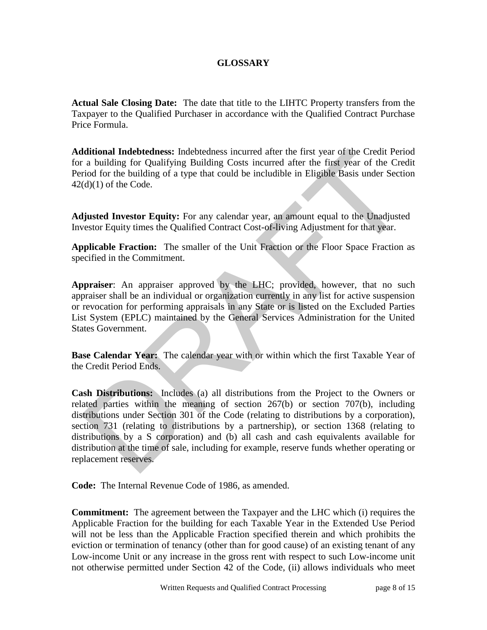# **GLOSSARY**

**Actual Sale Closing Date:** The date that title to the LIHTC Property transfers from the Taxpayer to the Qualified Purchaser in accordance with the Qualified Contract Purchase Price Formula.

**Additional Indebtedness:** Indebtedness incurred after the first year of the Credit Period for a building for Qualifying Building Costs incurred after the first year of the Credit Period for the building of a type that could be includible in Eligible Basis under Section  $42(d)(1)$  of the Code.

**Adjusted Investor Equity:** For any calendar year, an amount equal to the Unadjusted Investor Equity times the Qualified Contract Cost-of-living Adjustment for that year.

**Applicable Fraction:** The smaller of the Unit Fraction or the Floor Space Fraction as specified in the Commitment.

**Appraiser**: An appraiser approved by the LHC; provided, however, that no such appraiser shall be an individual or organization currently in any list for active suspension or revocation for performing appraisals in any State or is listed on the Excluded Parties List System (EPLC) maintained by the General Services Administration for the United States Government.

**Base Calendar Year:** The calendar year with or within which the first Taxable Year of the Credit Period Ends.

**Cash Distributions:** Includes (a) all distributions from the Project to the Owners or related parties within the meaning of section 267(b) or section 707(b), including distributions under Section 301 of the Code (relating to distributions by a corporation), section 731 (relating to distributions by a partnership), or section 1368 (relating to distributions by a S corporation) and (b) all cash and cash equivalents available for distribution at the time of sale, including for example, reserve funds whether operating or replacement reserves. diditional Indebtedness: Indebtedness incurred after the first year of the Credit Perind Chinaton Indebtedness incurred after the first year of the Credit Period for the building of a type that could be includible in Eligi

**Code:** The Internal Revenue Code of 1986, as amended.

**Commitment:** The agreement between the Taxpayer and the LHC which (i) requires the Applicable Fraction for the building for each Taxable Year in the Extended Use Period will not be less than the Applicable Fraction specified therein and which prohibits the eviction or termination of tenancy (other than for good cause) of an existing tenant of any Low-income Unit or any increase in the gross rent with respect to such Low-income unit not otherwise permitted under Section 42 of the Code, (ii) allows individuals who meet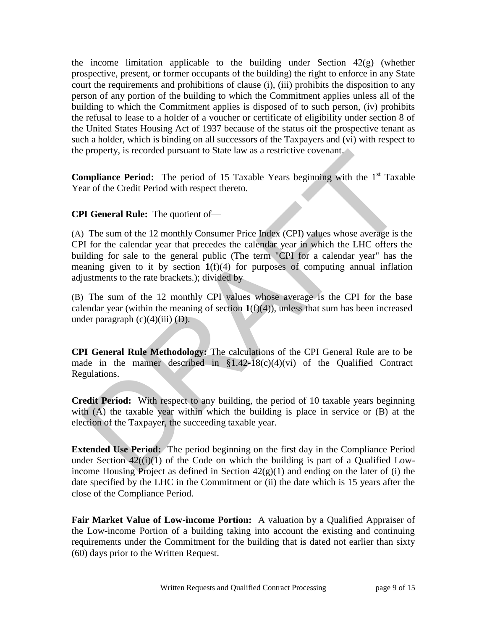the income limitation applicable to the building under Section  $42(g)$  (whether prospective, present, or former occupants of the building) the right to enforce in any State court the requirements and prohibitions of clause (i), (iii) prohibits the disposition to any person of any portion of the building to which the Commitment applies unless all of the building to which the Commitment applies is disposed of to such person, (iv) prohibits the refusal to lease to a holder of a voucher or certificate of eligibility under section 8 of the United States Housing Act of 1937 because of the status oif the prospective tenant as such a holder, which is binding on all successors of the Taxpayers and (vi) with respect to the property, is recorded pursuant to State law as a restrictive covenant.

**Compliance Period:** The period of 15 Taxable Years beginning with the 1<sup>st</sup> Taxable Year of the Credit Period with respect thereto.

**CPI General Rule:** The quotient of—

(A) The sum of the 12 monthly Consumer Price Index (CPI) values whose average is the CPI for the calendar year that precedes the calendar year in which the LHC offers the building for sale to the general public (The term "CPI for a calendar year" has the meaning given to it by section  $1(f)(4)$  for purposes of computing annual inflation adjustments to the rate brackets.); divided by property, is recorded pursuant to State law as a restrictive covenant,<br> **ompliance Period:** The period of 15 Taxable Years beginning with the 1<sup>st</sup> Taxat<br>
ar of the Credit Period with respect thereto.<br>
PI General Rule: Th

(B) The sum of the 12 monthly CPI values whose average is the CPI for the base calendar year (within the meaning of section  $\mathbf{1}(f)(4)$ ), unless that sum has been increased under paragraph  $(c)(4)(iii)$  (D).

**CPI General Rule Methodology:** The calculations of the CPI General Rule are to be made in the manner described in  $$1.42-18(c)(4)(vi)$  of the Qualified Contract Regulations.

**Credit Period:** With respect to any building, the period of 10 taxable years beginning with (A) the taxable year within which the building is place in service or (B) at the election of the Taxpayer, the succeeding taxable year.

**Extended Use Period:** The period beginning on the first day in the Compliance Period under Section  $42((i)(1))$  of the Code on which the building is part of a Qualified Lowincome Housing Project as defined in Section  $42(g)(1)$  and ending on the later of (i) the date specified by the LHC in the Commitment or (ii) the date which is 15 years after the close of the Compliance Period.

**Fair Market Value of Low-income Portion:** A valuation by a Qualified Appraiser of the Low-income Portion of a building taking into account the existing and continuing requirements under the Commitment for the building that is dated not earlier than sixty (60) days prior to the Written Request.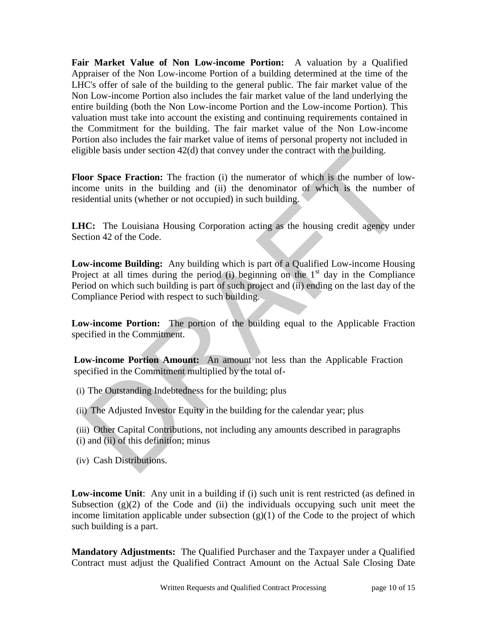**Fair Market Value of Non Low-income Portion:** A valuation by a Qualified Appraiser of the Non Low-income Portion of a building determined at the time of the LHC's offer of sale of the building to the general public. The fair market value of the Non Low-income Portion also includes the fair market value of the land underlying the entire building (both the Non Low-income Portion and the Low-income Portion). This valuation must take into account the existing and continuing requirements contained in the Commitment for the building. The fair market value of the Non Low-income Portion also includes the fair market value of items of personal property not included in eligible basis under section 42(d) that convey under the contract with the building.

**Floor Space Fraction:** The fraction (i) the numerator of which is the number of lowincome units in the building and (ii) the denominator of which is the number of residential units (whether or not occupied) in such building.

**LHC:** The Louisiana Housing Corporation acting as the housing credit agency under Section 42 of the Code.

**Low-income Building:** Any building which is part of a Qualified Low-income Housing Project at all times during the period (i) beginning on the  $1<sup>st</sup>$  day in the Compliance Period on which such building is part of such project and (ii) ending on the last day of the Compliance Period with respect to such building. gpble basis under section 42(d) that convey under the contract with the building.<br> **DOT Space Fraction:** The fraction (i) the numerator of which is the number of loome units in the building and (ii) the denominator of whi

**Low-income Portion:** The portion of the building equal to the Applicable Fraction specified in the Commitment.

**Low-income Portion Amount:** An amount not less than the Applicable Fraction specified in the Commitment multiplied by the total of-

- (i) The Outstanding Indebtedness for the building; plus
- (ii) The Adjusted Investor Equity in the building for the calendar year; plus
- (iii) Other Capital Contributions, not including any amounts described in paragraphs (i) and (ii) of this definition; minus
- (iv) Cash Distributions.

**Low-income Unit**: Any unit in a building if (i) such unit is rent restricted (as defined in Subsection  $(g)(2)$  of the Code and (ii) the individuals occupying such unit meet the income limitation applicable under subsection  $(g)(1)$  of the Code to the project of which such building is a part.

**Mandatory Adjustments:** The Qualified Purchaser and the Taxpayer under a Qualified Contract must adjust the Qualified Contract Amount on the Actual Sale Closing Date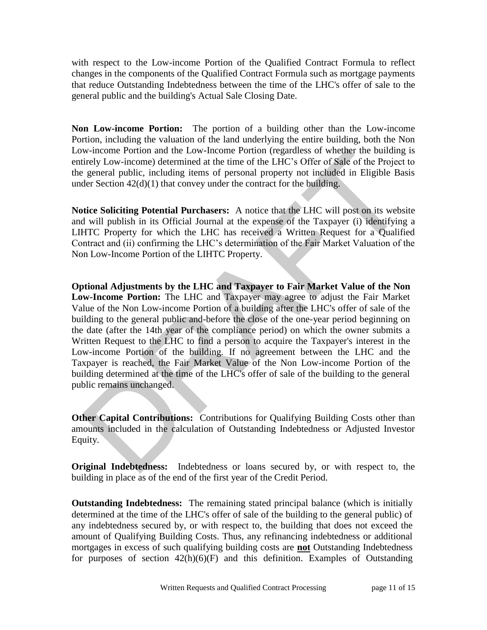with respect to the Low-income Portion of the Qualified Contract Formula to reflect changes in the components of the Qualified Contract Formula such as mortgage payments that reduce Outstanding Indebtedness between the time of the LHC's offer of sale to the general public and the building's Actual Sale Closing Date.

**Non Low-income Portion:** The portion of a building other than the Low-income Portion, including the valuation of the land underlying the entire building, both the Non Low-income Portion and the Low-Income Portion (regardless of whether the building is entirely Low-income) determined at the time of the LHC's Offer of Sale of the Project to the general public, including items of personal property not included in Eligible Basis under Section 42(d)(1) that convey under the contract for the building.

**Notice Soliciting Potential Purchasers:** A notice that the LHC will post on its website and will publish in its Official Journal at the expense of the Taxpayer (i) identifying a LIHTC Property for which the LHC has received a Written Request for a Qualified Contract and (ii) confirming the LHC's determination of the Fair Market Valuation of the Non Low-Income Portion of the LIHTC Property.

**Optional Adjustments by the LHC and Taxpayer to Fair Market Value of the Non Low-Income Portion:** The LHC and Taxpayer may agree to adjust the Fair Market Value of the Non Low-income Portion of a building after the LHC's offer of sale of the building to the general public and-before the close of the one-year period beginning on the date (after the 14th year of the compliance period) on which the owner submits a Written Request to the LHC to find a person to acquire the Taxpayer's interest in the Low-income Portion of the building. If no agreement between the LHC and the Taxpayer is reached, the Fair Market Value of the Non Low-income Portion of the building determined at the time of the LHC's offer of sale of the building to the general public remains unchanged. w-mcome Portion and the Low-Income Portion (regardless of whether the building<br>tirely Low-income) determined at the time of the LHC's Offer of Sale of the Project<br>general public, including items of personal property not in

**Other Capital Contributions:** Contributions for Qualifying Building Costs other than amounts included in the calculation of Outstanding Indebtedness or Adjusted Investor Equity.

**Original Indebtedness:** Indebtedness or loans secured by, or with respect to, the building in place as of the end of the first year of the Credit Period.

**Outstanding Indebtedness:** The remaining stated principal balance (which is initially determined at the time of the LHC's offer of sale of the building to the general public) of any indebtedness secured by, or with respect to, the building that does not exceed the amount of Qualifying Building Costs. Thus, any refinancing indebtedness or additional mortgages in excess of such qualifying building costs are **not** Outstanding Indebtedness for purposes of section  $42(h)(6)(F)$  and this definition. Examples of Outstanding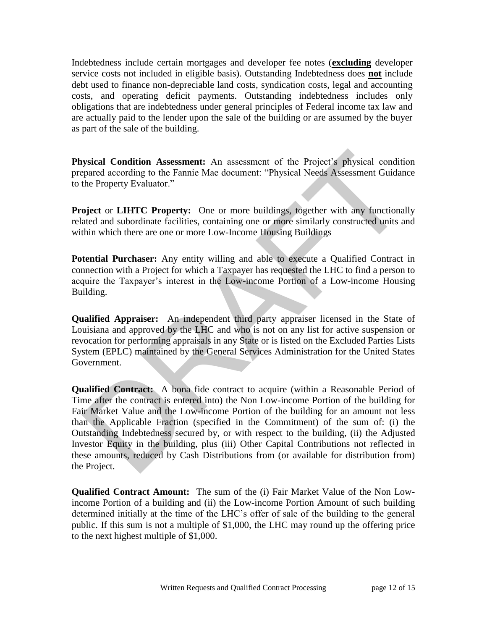Indebtedness include certain mortgages and developer fee notes (**excluding** developer service costs not included in eligible basis). Outstanding Indebtedness does **not** include debt used to finance non-depreciable land costs, syndication costs, legal and accounting costs, and operating deficit payments. Outstanding indebtedness includes only obligations that are indebtedness under general principles of Federal income tax law and are actually paid to the lender upon the sale of the building or are assumed by the buyer as part of the sale of the building.

**Physical Condition Assessment:** An assessment of the Project's physical condition prepared according to the Fannie Mae document: "Physical Needs Assessment Guidance to the Property Evaluator."

**Project** or **LIHTC Property:** One or more buildings, together with any functionally related and subordinate facilities, containing one or more similarly constructed units and within which there are one or more Low-Income Housing Buildings

**Potential Purchaser:** Any entity willing and able to execute a Qualified Contract in connection with a Project for which a Taxpayer has requested the LHC to find a person to acquire the Taxpayer's interest in the Low-income Portion of a Low-income Housing Building.

**Qualified Appraiser:** An independent third party appraiser licensed in the State of Louisiana and approved by the LHC and who is not on any list for active suspension or revocation for performing appraisals in any State or is listed on the Excluded Parties Lists System (EPLC) maintained by the General Services Administration for the United States Government.

**Qualified Contract:** A bona fide contract to acquire (within a Reasonable Period of Time after the contract is entered into) the Non Low-income Portion of the building for Fair Market Value and the Low-income Portion of the building for an amount not less than the Applicable Fraction (specified in the Commitment) of the sum of: (i) the Outstanding Indebtedness secured by, or with respect to the building, (ii) the Adjusted Investor Equity in the building, plus (iii) Other Capital Contributions not reflected in these amounts, reduced by Cash Distributions from (or available for distribution from) the Project. **gysical Condition Assessment:** An assessment of the Project's physical conditionared according to the Fannie Mae document: "Physical Needs Assessment Guidanthe Property Evaluator."<br> **oject or LIHTC Property:** One or more

**Qualified Contract Amount:** The sum of the (i) Fair Market Value of the Non Lowincome Portion of a building and (ii) the Low-income Portion Amount of such building determined initially at the time of the LHC's offer of sale of the building to the general public. If this sum is not a multiple of \$1,000, the LHC may round up the offering price to the next highest multiple of \$1,000.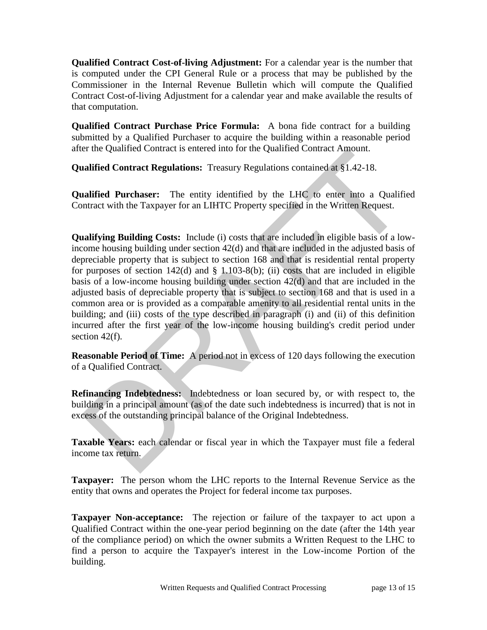**Qualified Contract Cost-of-living Adjustment:** For a calendar year is the number that is computed under the CPI General Rule or a process that may be published by the Commissioner in the Internal Revenue Bulletin which will compute the Qualified Contract Cost-of-living Adjustment for a calendar year and make available the results of that computation.

**Qualified Contract Purchase Price Formula:** A bona fide contract for a building submitted by a Qualified Purchaser to acquire the building within a reasonable period after the Qualified Contract is entered into for the Qualified Contract Amount.

**Qualified Contract Regulations:** Treasury Regulations contained at §1.42-18.

**Qualified Purchaser:** The entity identified by the LHC to enter into a Qualified Contract with the Taxpayer for an LIHTC Property specified in the Written Request.

**Qualifying Building Costs:** Include (i) costs that are included in eligible basis of a lowincome housing building under section 42(d) and that are included in the adjusted basis of depreciable property that is subject to section 168 and that is residential rental property for purposes of section  $142(d)$  and § 1.103-8(b); (ii) costs that are included in eligible basis of a low-income housing building under section 42(d) and that are included in the adjusted basis of depreciable property that is subject to section 168 and that is used in a common area or is provided as a comparable amenity to all residential rental units in the building; and (iii) costs of the type described in paragraph (i) and (ii) of this definition incurred after the first year of the low-income housing building's credit period under section 42(f). ratified Contract Regulations: Treasury Regulations contrained Contract Amount.<br> **ratified Contract Regulations:** Treasury Regulations contained at \$1.42-18.<br> **ratified Purchaser:** The entity identified by the LHC to ente

**Reasonable Period of Time:** A period not in excess of 120 days following the execution of a Qualified Contract.

**Refinancing Indebtedness:** Indebtedness or loan secured by, or with respect to, the building in a principal amount (as of the date such indebtedness is incurred) that is not in excess of the outstanding principal balance of the Original Indebtedness.

**Taxable Years:** each calendar or fiscal year in which the Taxpayer must file a federal income tax return.

**Taxpayer:** The person whom the LHC reports to the Internal Revenue Service as the entity that owns and operates the Project for federal income tax purposes.

**Taxpayer Non-acceptance:** The rejection or failure of the taxpayer to act upon a Qualified Contract within the one-year period beginning on the date (after the 14th year of the compliance period) on which the owner submits a Written Request to the LHC to find a person to acquire the Taxpayer's interest in the Low-income Portion of the building.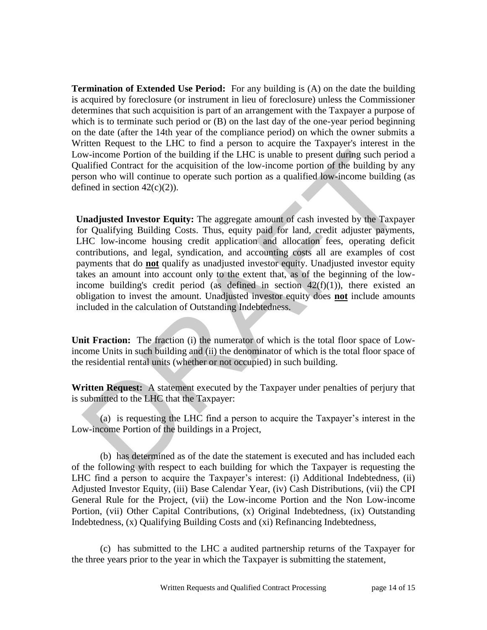**Termination of Extended Use Period:** For any building is (A) on the date the building is acquired by foreclosure (or instrument in lieu of foreclosure) unless the Commissioner determines that such acquisition is part of an arrangement with the Taxpayer a purpose of which is to terminate such period or (B) on the last day of the one-year period beginning on the date (after the 14th year of the compliance period) on which the owner submits a Written Request to the LHC to find a person to acquire the Taxpayer's interest in the Low-income Portion of the building if the LHC is unable to present during such period a Qualified Contract for the acquisition of the low-income portion of the building by any person who will continue to operate such portion as a qualified low-income building (as defined in section  $42(c)(2)$ ).

**Unadjusted Investor Equity:** The aggregate amount of cash invested by the Taxpayer for Qualifying Building Costs. Thus, equity paid for land, credit adjuster payments, LHC low-income housing credit application and allocation fees, operating deficit contributions, and legal, syndication, and accounting costs all are examples of cost payments that do **not** qualify as unadjusted investor equity. Unadjusted investor equity takes an amount into account only to the extent that, as of the beginning of the lowincome building's credit period (as defined in section  $42(f)(1)$ ), there existed an obligation to invest the amount. Unadjusted investor equity does **not** include amounts included in the calculation of Outstanding Indebtedness. w-income Portion of the building if the LHC is unable to present during such periocaliting Contract for the acquisition of the low-income portion of the building by a<br>scon who will contact for the acquisition of the low-i

**Unit Fraction:** The fraction (i) the numerator of which is the total floor space of Lowincome Units in such building and (ii) the denominator of which is the total floor space of the residential rental units (whether or not occupied) in such building.

**Written Request:** A statement executed by the Taxpayer under penalties of perjury that is submitted to the LHC that the Taxpayer:

(a) is requesting the LHC find a person to acquire the Taxpayer's interest in the Low-income Portion of the buildings in a Project,

(b) has determined as of the date the statement is executed and has included each of the following with respect to each building for which the Taxpayer is requesting the LHC find a person to acquire the Taxpayer's interest: (i) Additional Indebtedness, (ii) Adjusted Investor Equity, (iii) Base Calendar Year, (iv) Cash Distributions, (vii) the CPI General Rule for the Project, (vii) the Low-income Portion and the Non Low-income Portion, (vii) Other Capital Contributions, (x) Original Indebtedness, (ix) Outstanding Indebtedness, (x) Qualifying Building Costs and (xi) Refinancing Indebtedness,

 (c) has submitted to the LHC a audited partnership returns of the Taxpayer for the three years prior to the year in which the Taxpayer is submitting the statement,